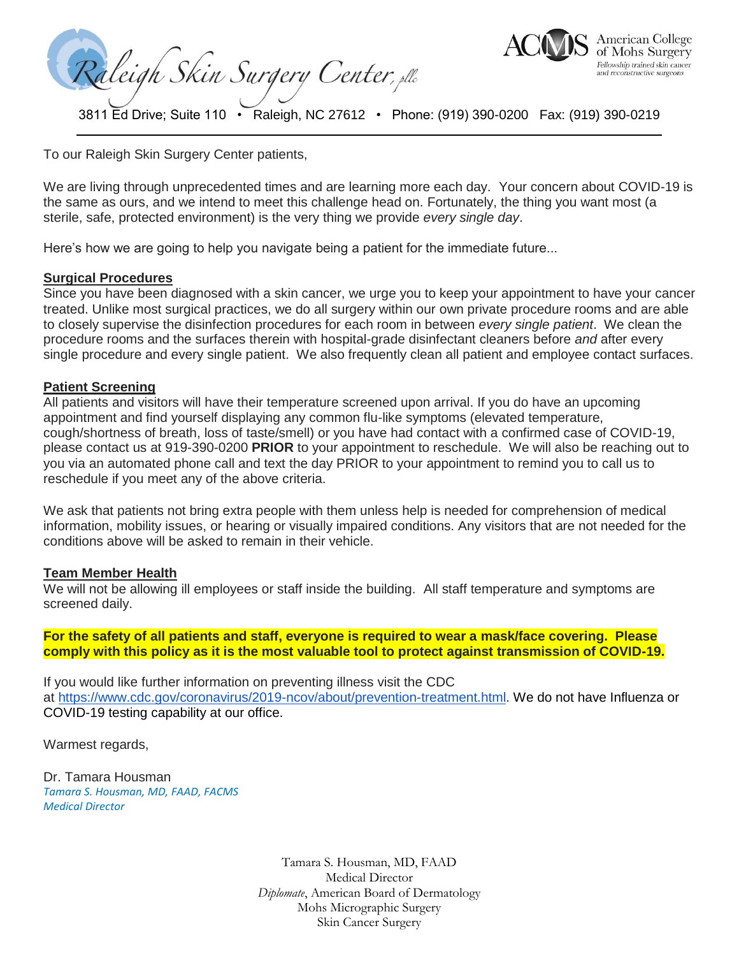Raleigh Skin Surgery Center, plc



3811 Ed Drive; Suite 110 • Raleigh, NC 27612 • Phone: (919) 390-0200 Fax: (919) 390-0219

To our Raleigh Skin Surgery Center patients,

We are living through unprecedented times and are learning more each day. Your concern about COVID-19 is the same as ours, and we intend to meet this challenge head on. Fortunately, the thing you want most (a sterile, safe, protected environment) is the very thing we provide *every single day*.

Here's how we are going to help you navigate being a patient for the immediate future...

#### **Surgical Procedures**

Since you have been diagnosed with a skin cancer, we urge you to keep your appointment to have your cancer treated. Unlike most surgical practices, we do all surgery within our own private procedure rooms and are able to closely supervise the disinfection procedures for each room in between *every single patient*. We clean the procedure rooms and the surfaces therein with hospital-grade disinfectant cleaners before *and* after every single procedure and every single patient. We also frequently clean all patient and employee contact surfaces.

#### **Patient Screening**

All patients and visitors will have their temperature screened upon arrival. If you do have an upcoming appointment and find yourself displaying any common flu-like symptoms (elevated temperature, cough/shortness of breath, loss of taste/smell) or you have had contact with a confirmed case of COVID-19, please contact us at 919-390-0200 **PRIOR** to your appointment to reschedule. We will also be reaching out to you via an automated phone call and text the day PRIOR to your appointment to remind you to call us to reschedule if you meet any of the above criteria.

We ask that patients not bring extra people with them unless help is needed for comprehension of medical information, mobility issues, or hearing or visually impaired conditions. Any visitors that are not needed for the conditions above will be asked to remain in their vehicle.

#### **Team Member Health**

We will not be allowing ill employees or staff inside the building. All staff temperature and symptoms are screened daily.

**For the safety of all patients and staff, everyone is required to wear a mask/face covering. Please comply with this policy as it is the most valuable tool to protect against transmission of COVID-19.**

If you would like further information on preventing illness visit the CDC at [https://www.cdc.gov/coronavirus/2019-ncov/about/prevention-treatment.html.](http://email.yodle.com/ls/click?upn=vTyTWfqox3555QIsYGmAu4TjigX3z9BkpSrpJGiBasBB3dNEvimoucZYMMNTlSTA78-2Be4jzNrv9rbhIQS9efs5A4fZgQwM1FruX1aAP-2FKT7NNdxVY-2FO3QVRHkZ-2F07nM1n5LL_ShpLPA2hK27-2FbZQ0VZIlR4T2odogIV4go8QWebYZKHMQAUUUlgzTkN4TyFnRav06S5ZjQmwuolZjbp7bLhz92-2BOHAsVAoZo2G52aCEg5hzfJuRxku1TmFy7tVXk0yauKUkttdjsxQiWufH0K9cxitexUlKFHOglk-2FIYPHluPe-2FW0sOB2WFdwZ1RbHq6ss0A8Bmdlo5AHOM-2FqMyXMns4rLAyj0BJSNXoQYG09fbsHmWAz8xCVdBMNzCeibb5b699rDJJZAjqq8goXarHU7C5lGUMVsqXZLjey78s0GNuplTEVZ3Vr3h4dk-2F1W8MDhTVhl8Ppcuuk8CxVzScciD0aU8g-3D-3D) We do not have Influenza or COVID-19 testing capability at our office.

Warmest regards,

Dr. Tamara Housman *Tamara S. Housman, MD, FAAD, FACMS Medical Director*

> Tamara S. Housman, MD, FAAD Medical Director *Diplomate*, American Board of Dermatology Mohs Micrographic Surgery Skin Cancer Surgery